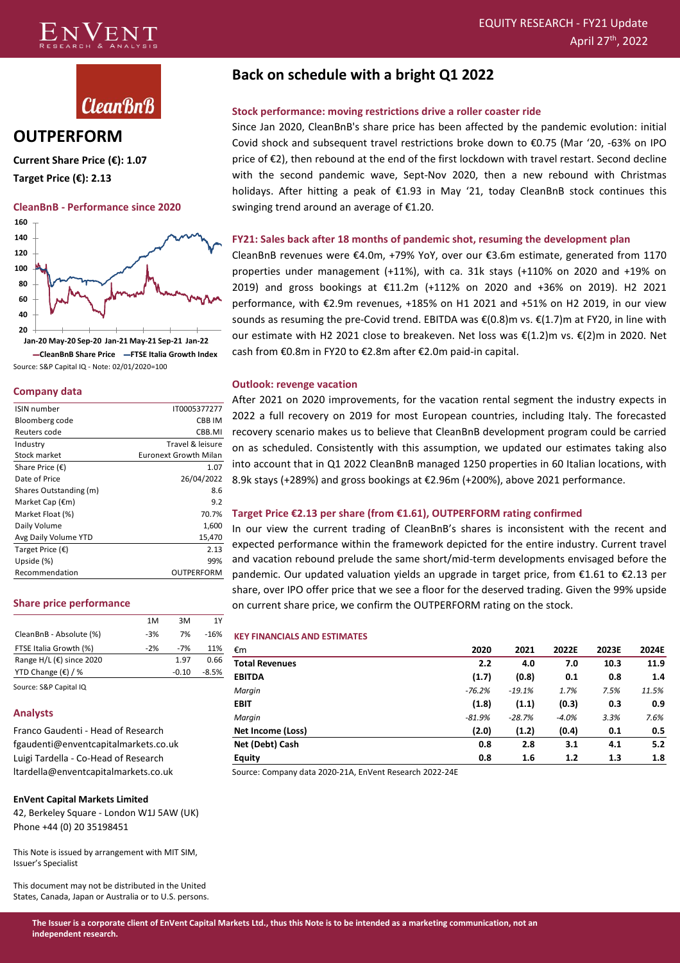



### **OUTPERFORM**

**Current Share Price (€): 1.07 Target Price (€): 2.13**

#### **CleanBnB - Performance since 2020**



**CleanBnB Share Price FTSE Italia Growth Index** Source: S&P Capital IQ - Note: 02/01/2020=100

#### **Company data**

| <b>ISIN</b> number        | IT0005377277                 |
|---------------------------|------------------------------|
| Bloomberg code            | CBB IM                       |
| Reuters code              | CBB.MI                       |
| Industry                  | Travel & leisure             |
| Stock market              | <b>Euronext Growth Milan</b> |
| Share Price $(\epsilon)$  | 1.07                         |
| Date of Price             | 26/04/2022                   |
| Shares Outstanding (m)    | 8.6                          |
| Market Cap $(\epsilon m)$ | 9.2                          |
| Market Float (%)          | 70.7%                        |
| Daily Volume              | 1,600                        |
| Avg Daily Volume YTD      | 15,470                       |
| Target Price $(\epsilon)$ | 2.13                         |
| Upside (%)                | 99%                          |
| Recommendation            | OUTPERFORM                   |

#### **Share price performance**

|                                     | 1M    | 3M    | 1Y      |
|-------------------------------------|-------|-------|---------|
| CleanBnB - Absolute (%)             | $-3%$ | 7%    | $-16%$  |
| FTSE Italia Growth (%)              | $-2%$ | $-7%$ | 11%     |
| Range H/L ( $\epsilon$ ) since 2020 |       | 1.97  | 0.66    |
| YTD Change $(\epsilon)$ / %         |       | -0.10 | $-8.5%$ |
|                                     |       |       |         |

Source: S&P Capital IQ

#### **Analysts**

Franco Gaudenti - Head of Research fgaudenti@enventcapitalmarkets.co.uk Luigi Tardella - Co-Head of Research ltardella@enventcapitalmarkets.co.uk

#### **EnVent Capital Markets Limited**

42, Berkeley Square - London W1J 5AW (UK) Phone +44 (0) 20 35198451

This Note is issued by arrangement with MIT SIM, Issuer's Specialist

This document may not be distributed in the United States, Canada, Japan or Australia or to U.S. persons.

### **Back on schedule with a bright Q1 2022**

### **Stock performance: moving restrictions drive a roller coaster ride**

Since Jan 2020, CleanBnB's share price has been affected by the pandemic evolution: initial Covid shock and subsequent travel restrictions broke down to €0.75 (Mar '20, -63% on IPO price of  $\epsilon$ 2), then rebound at the end of the first lockdown with travel restart. Second decline with the second pandemic wave, Sept-Nov 2020, then a new rebound with Christmas holidays. After hitting a peak of €1.93 in May '21, today CleanBnB stock continues this swinging trend around an average of €1.20.

### **FY21: Sales back after 18 months of pandemic shot, resuming the development plan**

CleanBnB revenues were €4.0m, +79% YoY, over our €3.6m estimate, generated from 1170 properties under management (+11%), with ca. 31k stays (+110% on 2020 and +19% on 2019) and gross bookings at €11.2m (+112% on 2020 and +36% on 2019). H2 2021 performance, with €2.9m revenues, +185% on H1 2021 and +51% on H2 2019, in our view sounds as resuming the pre-Covid trend. EBITDA was  $\mathcal{E}(0.8)$ m vs.  $\mathcal{E}(1.7)$ m at FY20, in line with our estimate with H2 2021 close to breakeven. Net loss was €(1.2)m vs. €(2)m in 2020. Net cash from €0.8m in FY20 to €2.8m after €2.0m paid-in capital.

### **Outlook: revenge vacation**

After 2021 on 2020 improvements, for the vacation rental segment the industry expects in 2022 a full recovery on 2019 for most European countries, including Italy. The forecasted recovery scenario makes us to believe that CleanBnB development program could be carried on as scheduled. Consistently with this assumption, we updated our estimates taking also into account that in Q1 2022 CleanBnB managed 1250 properties in 60 Italian locations, with 8.9k stays (+289%) and gross bookings at €2.96m (+200%), above 2021 performance.

### **Target Price €2.13 per share (from €1.61), OUTPERFORM rating confirmed**

In our view the current trading of CleanBnB's shares is inconsistent with the recent and expected performance within the framework depicted for the entire industry. Current travel and vacation rebound prelude the same short/mid-term developments envisaged before the pandemic. Our updated valuation yields an upgrade in target price, from €1.61 to €2.13 per share, over IPO offer price that we see a floor for the deserved trading. Given the 99% upside on current share price, we confirm the OUTPERFORM rating on the stock.

#### **KEY FINANCIALS AND ESTIMATES**

| €m                    | 2020     | 2021     | 2022E   | 2023E | 2024E |
|-----------------------|----------|----------|---------|-------|-------|
| <b>Total Revenues</b> | 2.2      | 4.0      | 7.0     | 10.3  | 11.9  |
| <b>EBITDA</b>         | (1.7)    | (0.8)    | 0.1     | 0.8   | 1.4   |
| Margin                | $-76.2%$ | $-19.1%$ | 1.7%    | 7.5%  | 11.5% |
| <b>EBIT</b>           | (1.8)    | (1.1)    | (0.3)   | 0.3   | 0.9   |
| Margin                | $-81.9%$ | $-28.7%$ | $-4.0%$ | 3.3%  | 7.6%  |
| Net Income (Loss)     | (2.0)    | (1.2)    | (0.4)   | 0.1   | 0.5   |
| Net (Debt) Cash       | 0.8      | 2.8      | 3.1     | 4.1   | 5.2   |
| <b>Equity</b>         | 0.8      | 1.6      | 1.2     | 1.3   | 1.8   |

Source: Company data 2020-21A, EnVent Research 2022-24E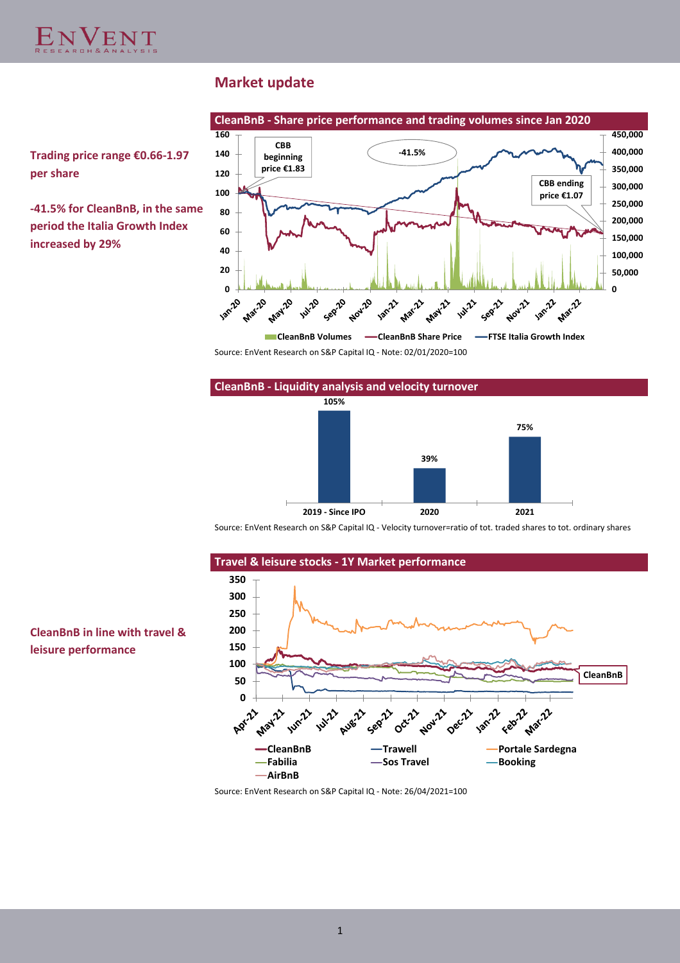

### **Market update**



**-41.5% for CleanBnB, in the same period the Italia Growth Index increased by 29%**



Source: EnVent Research on S&P Capital IQ - Note: 02/01/2020=100



Source: EnVent Research on S&P Capital IQ - Velocity turnover=ratio of tot. traded shares to tot. ordinary shares



### **CleanBnB in line with travel & leisure performance**

Source: EnVent Research on S&P Capital IQ - Note: 26/04/2021=100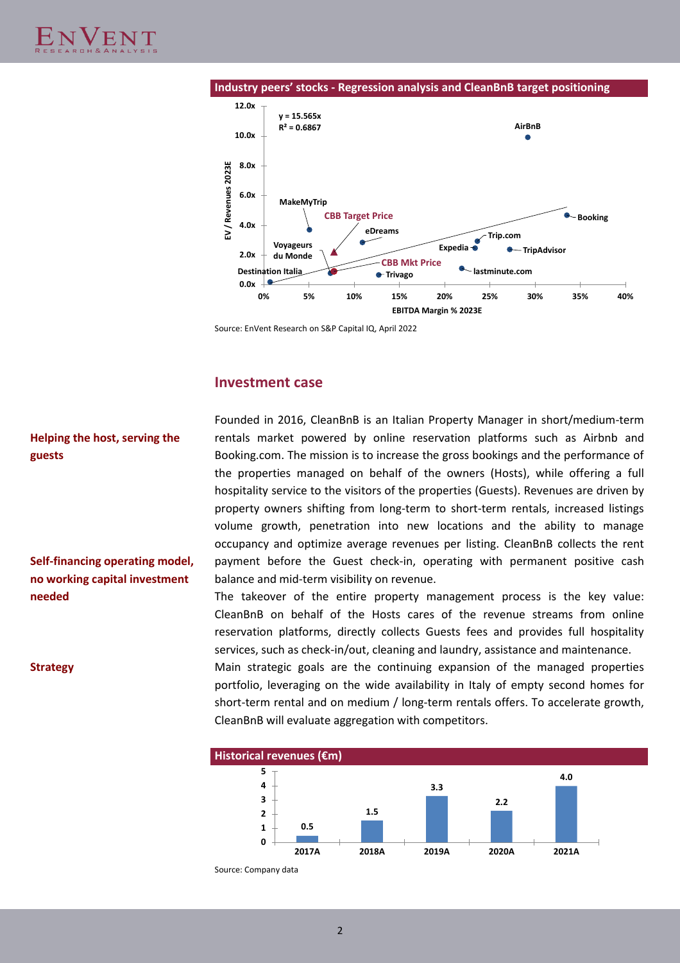

Source: EnVent Research on S&P Capital IQ, April 2022

### **Investment case**

### **Helping the host, serving the guests**

**Self-financing operating model, no working capital investment needed**

Founded in 2016, CleanBnB is an Italian Property Manager in short/medium-term rentals market powered by online reservation platforms such as Airbnb and Booking.com. The mission is to increase the gross bookings and the performance of the properties managed on behalf of the owners (Hosts), while offering a full hospitality service to the visitors of the properties (Guests). Revenues are driven by property owners shifting from long-term to short-term rentals, increased listings volume growth, penetration into new locations and the ability to manage occupancy and optimize average revenues per listing. CleanBnB collects the rent payment before the Guest check-in, operating with permanent positive cash balance and mid-term visibility on revenue.

The takeover of the entire property management process is the key value: CleanBnB on behalf of the Hosts cares of the revenue streams from online reservation platforms, directly collects Guests fees and provides full hospitality services, such as check-in/out, cleaning and laundry, assistance and maintenance.

**Strategy** Main strategic goals are the continuing expansion of the managed properties portfolio, leveraging on the wide availability in Italy of empty second homes for short-term rental and on medium / long-term rentals offers. To accelerate growth, CleanBnB will evaluate aggregation with competitors.



Source: Company data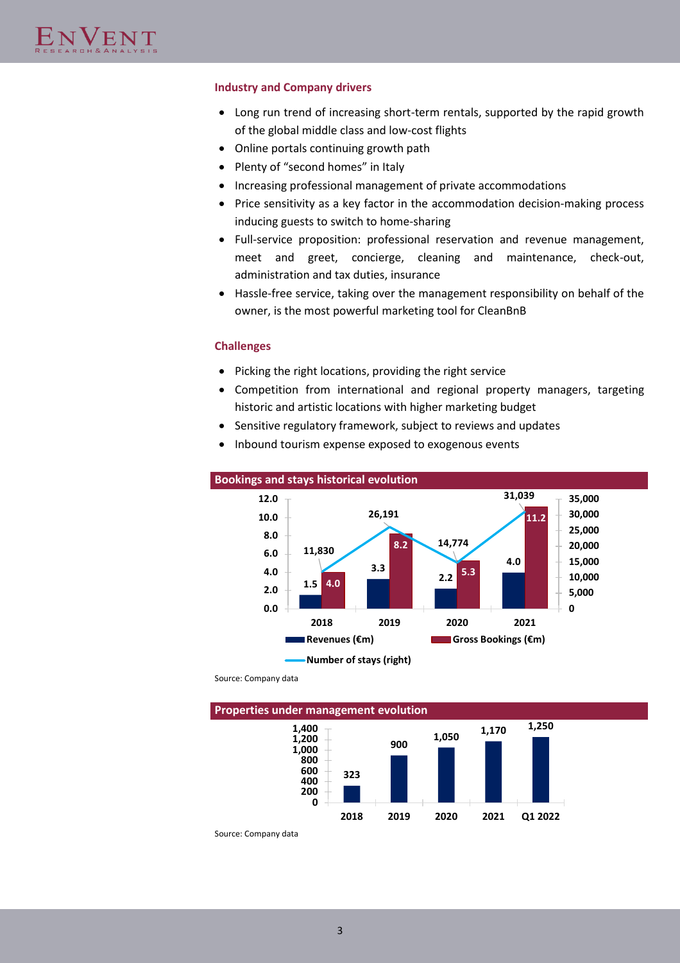### **Industry and Company drivers**

- Long run trend of increasing short-term rentals, supported by the rapid growth of the global middle class and low-cost flights
- Online portals continuing growth path
- Plenty of "second homes" in Italy
- Increasing professional management of private accommodations
- Price sensitivity as a key factor in the accommodation decision-making process inducing guests to switch to home-sharing
- Full-service proposition: professional reservation and revenue management, meet and greet, concierge, cleaning and maintenance, check-out, administration and tax duties, insurance
- Hassle-free service, taking over the management responsibility on behalf of the owner, is the most powerful marketing tool for CleanBnB

### **Challenges**

- Picking the right locations, providing the right service
- Competition from international and regional property managers, targeting historic and artistic locations with higher marketing budget
- Sensitive regulatory framework, subject to reviews and updates
- Inbound tourism expense exposed to exogenous events



Source: Company data

**Properties under management evolution**



Source: Company data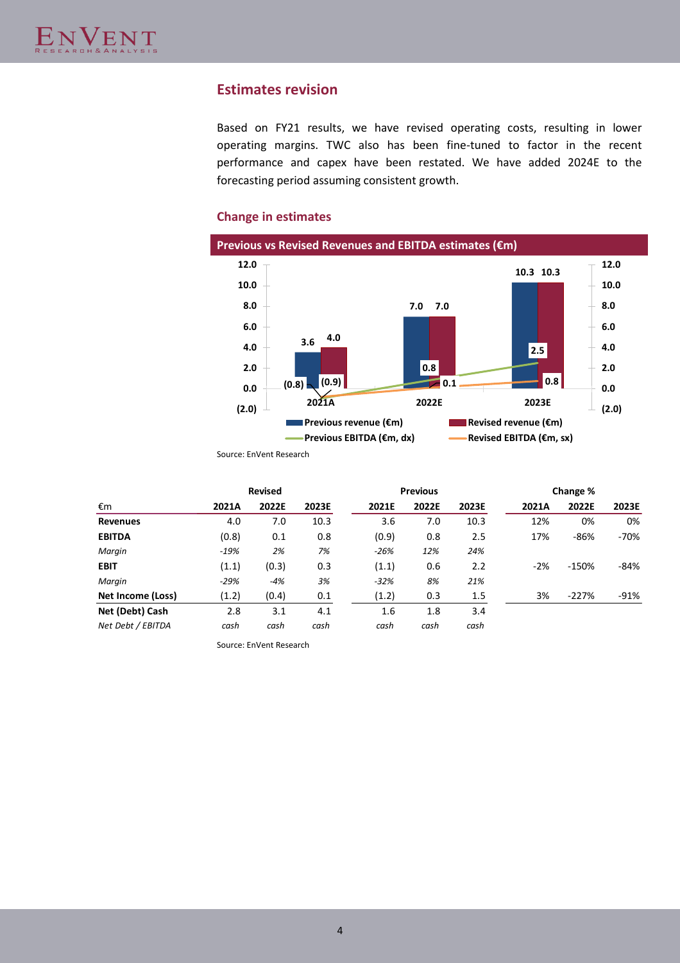### **Estimates revision**

Based on FY21 results, we have revised operating costs, resulting in lower operating margins. TWC also has been fine-tuned to factor in the recent performance and capex have been restated. We have added 2024E to the forecasting period assuming consistent growth.

### **Change in estimates**



Source: EnVent Research

|                   |        | <b>Revised</b> |       |        | <b>Previous</b> |       |       | Change % |        |
|-------------------|--------|----------------|-------|--------|-----------------|-------|-------|----------|--------|
| €m                | 2021A  | 2022E          | 2023E | 2021E  | 2022E           | 2023E | 2021A | 2022E    | 2023E  |
| <b>Revenues</b>   | 4.0    | 7.0            | 10.3  | 3.6    | 7.0             | 10.3  | 12%   | 0%       | 0%     |
| <b>EBITDA</b>     | (0.8)  | 0.1            | 0.8   | (0.9)  | 0.8             | 2.5   | 17%   | $-86%$   | $-70%$ |
| Margin            | $-19%$ | 2%             | 7%    | $-26%$ | 12%             | 24%   |       |          |        |
| <b>EBIT</b>       | (1.1)  | (0.3)          | 0.3   | (1.1)  | 0.6             | 2.2   | $-2%$ | $-150%$  | -84%   |
| Margin            | $-29%$ | $-4%$          | 3%    | $-32%$ | 8%              | 21%   |       |          |        |
| Net Income (Loss) | (1.2)  | (0.4)          | 0.1   | (1.2)  | 0.3             | 1.5   | 3%    | $-227%$  | $-91%$ |
| Net (Debt) Cash   | 2.8    | 3.1            | 4.1   | 1.6    | 1.8             | 3.4   |       |          |        |
| Net Debt / EBITDA | cash   | cash           | cash  | cash   | cash            | cash  |       |          |        |

Source: EnVent Research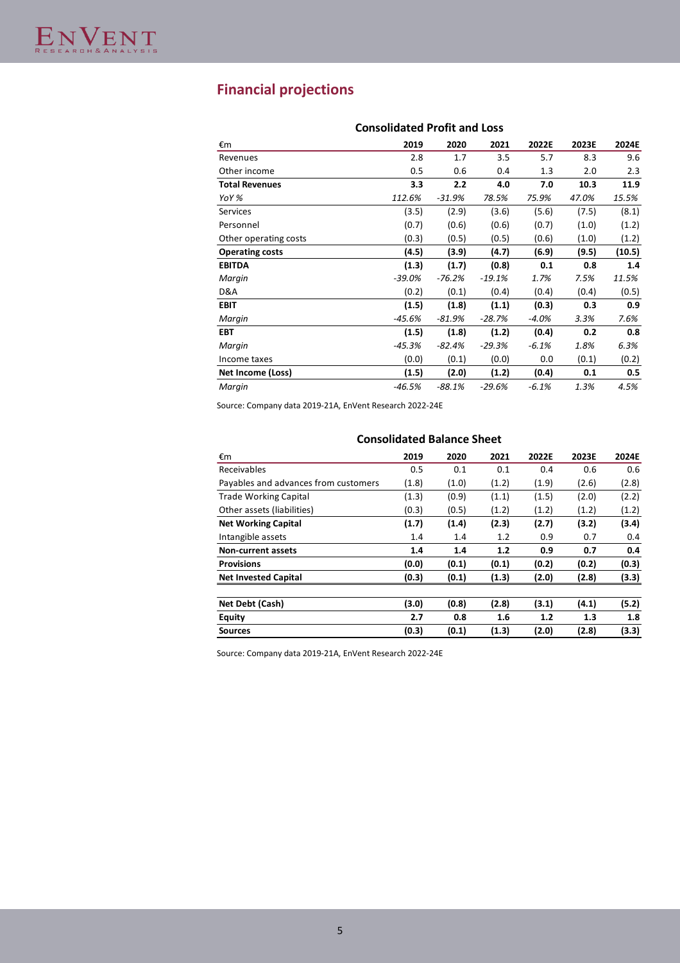## **Financial projections**

|          |          | CONSONUALEU PTONI ANU LOSS |         |       |        |  |  |  |  |  |
|----------|----------|----------------------------|---------|-------|--------|--|--|--|--|--|
| 2019     | 2020     | 2021                       | 2022E   | 2023E | 2024E  |  |  |  |  |  |
| 2.8      | 1.7      | 3.5                        | 5.7     | 8.3   | 9.6    |  |  |  |  |  |
| 0.5      | 0.6      | 0.4                        | 1.3     | 2.0   | 2.3    |  |  |  |  |  |
| 3.3      | 2.2      | 4.0                        | 7.0     | 10.3  | 11.9   |  |  |  |  |  |
| 112.6%   | $-31.9%$ | 78.5%                      | 75.9%   | 47.0% | 15.5%  |  |  |  |  |  |
| (3.5)    | (2.9)    | (3.6)                      | (5.6)   | (7.5) | (8.1)  |  |  |  |  |  |
| (0.7)    | (0.6)    | (0.6)                      | (0.7)   | (1.0) | (1.2)  |  |  |  |  |  |
| (0.3)    | (0.5)    | (0.5)                      | (0.6)   | (1.0) | (1.2)  |  |  |  |  |  |
| (4.5)    | (3.9)    | (4.7)                      | (6.9)   | (9.5) | (10.5) |  |  |  |  |  |
| (1.3)    | (1.7)    | (0.8)                      | 0.1     | 0.8   | 1.4    |  |  |  |  |  |
| $-39.0%$ | $-76.2%$ | $-19.1%$                   | 1.7%    | 7.5%  | 11.5%  |  |  |  |  |  |
| (0.2)    | (0.1)    | (0.4)                      | (0.4)   | (0.4) | (0.5)  |  |  |  |  |  |
| (1.5)    | (1.8)    | (1.1)                      | (0.3)   | 0.3   | 0.9    |  |  |  |  |  |
| $-45.6%$ | $-81.9%$ | $-28.7%$                   | $-4.0%$ | 3.3%  | 7.6%   |  |  |  |  |  |
| (1.5)    | (1.8)    | (1.2)                      | (0.4)   | 0.2   | 0.8    |  |  |  |  |  |
| $-45.3%$ | $-82.4%$ | $-29.3%$                   | $-6.1%$ | 1.8%  | 6.3%   |  |  |  |  |  |
| (0.0)    | (0.1)    | (0.0)                      | 0.0     | (0.1) | (0.2)  |  |  |  |  |  |
| (1.5)    | (2.0)    | (1.2)                      | (0.4)   | 0.1   | 0.5    |  |  |  |  |  |
| $-46.5%$ | $-88.1%$ | $-29.6%$                   | $-6.1%$ | 1.3%  | 4.5%   |  |  |  |  |  |
|          |          |                            |         |       |        |  |  |  |  |  |

### **Consolidated Profit and Loss**

Source: Company data 2019-21A, EnVent Research 2022-24E

### **Consolidated Balance Sheet**

| €m                                   | 2019  | 2020  | 2021  | 2022E | 2023E | 2024E |
|--------------------------------------|-------|-------|-------|-------|-------|-------|
| Receivables                          | 0.5   | 0.1   | 0.1   | 0.4   | 0.6   | 0.6   |
| Payables and advances from customers | (1.8) | (1.0) | (1.2) | (1.9) | (2.6) | (2.8) |
| <b>Trade Working Capital</b>         | (1.3) | (0.9) | (1.1) | (1.5) | (2.0) | (2.2) |
| Other assets (liabilities)           | (0.3) | (0.5) | (1.2) | (1.2) | (1.2) | (1.2) |
| <b>Net Working Capital</b>           | (1.7) | (1.4) | (2.3) | (2.7) | (3.2) | (3.4) |
| Intangible assets                    | 1.4   | 1.4   | 1.2   | 0.9   | 0.7   | 0.4   |
| <b>Non-current assets</b>            | 1.4   | 1.4   | 1.2   | 0.9   | 0.7   | 0.4   |
| <b>Provisions</b>                    | (0.0) | (0.1) | (0.1) | (0.2) | (0.2) | (0.3) |
| <b>Net Invested Capital</b>          | (0.3) | (0.1) | (1.3) | (2.0) | (2.8) | (3.3) |
|                                      |       |       |       |       |       |       |
| Net Debt (Cash)                      | (3.0) | (0.8) | (2.8) | (3.1) | (4.1) | (5.2) |
| Equity                               | 2.7   | 0.8   | 1.6   | 1.2   | 1.3   | 1.8   |
| <b>Sources</b>                       | (0.3) | (0.1) | (1.3) | (2.0) | (2.8) | (3.3) |

Source: Company data 2019-21A, EnVent Research 2022-24E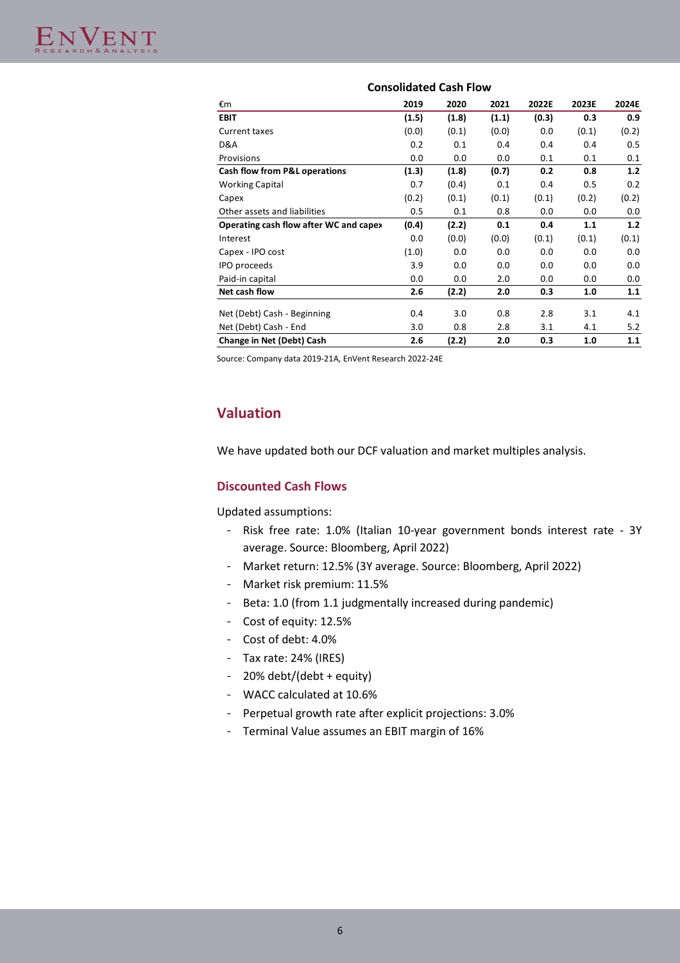| €m                                     | 2019  | 2020  | 2021  | 2022E | 2023E | 2024E |
|----------------------------------------|-------|-------|-------|-------|-------|-------|
| <b>EBIT</b>                            | (1.5) | (1.8) | (1.1) | (0.3) | 0.3   | 0.9   |
| Current taxes                          | (0.0) | (0.1) | (0.0) | 0.0   | (0.1) | (0.2) |
| D&A                                    | 0.2   | 0.1   | 0.4   | 0.4   | 0.4   | 0.5   |
| Provisions                             | 0.0   | 0.0   | 0.0   | 0.1   | 0.1   | 0.1   |
| Cash flow from P&L operations          | (1.3) | (1.8) | (0.7) | 0.2   | 0.8   | 1.2   |
| <b>Working Capital</b>                 | 0.7   | (0.4) | 0.1   | 0.4   | 0.5   | 0.2   |
| Capex                                  | (0.2) | (0.1) | (0.1) | (0.1) | (0.2) | (0.2) |
| Other assets and liabilities           | 0.5   | 0.1   | 0.8   | 0.0   | 0.0   | 0.0   |
| Operating cash flow after WC and capex | (0.4) | (2.2) | 0.1   | 0.4   | 1.1   | 1.2   |
| Interest                               | 0.0   | (0.0) | (0.0) | (0.1) | (0.1) | (0.1) |
| Capex - IPO cost                       | (1.0) | 0.0   | 0.0   | 0.0   | 0.0   | 0.0   |
| IPO proceeds                           | 3.9   | 0.0   | 0.0   | 0.0   | 0.0   | 0.0   |
| Paid-in capital                        | 0.0   | 0.0   | 2.0   | 0.0   | 0.0   | 0.0   |
| Net cash flow                          | 2.6   | (2.2) | 2.0   | 0.3   | 1.0   | 1.1   |
| Net (Debt) Cash - Beginning            | 0.4   | 3.0   | 0.8   | 2.8   | 3.1   | 4.1   |
| Net (Debt) Cash - End                  | 3.0   | 0.8   | 2.8   | 3.1   | 4.1   | 5.2   |
| Change in Net (Debt) Cash              | 2.6   | (2.2) | 2.0   | 0.3   | 1.0   | 1.1   |

### **Consolidated Cash Flow**

Source: Company data 2019-21A, EnVent Research 2022-24E

### **Valuation**

We have updated both our DCF valuation and market multiples analysis.

### **Discounted Cash Flows**

Updated assumptions:

- Risk free rate: 1.0% (Italian 10-year government bonds interest rate 3Y average. Source: Bloomberg, April 2022)
- Market return: 12.5% (3Y average. Source: Bloomberg, April 2022)
- Market risk premium: 11.5%
- Beta: 1.0 (from 1.1 judgmentally increased during pandemic)
- Cost of equity: 12.5%
- Cost of debt: 4.0%
- Tax rate: 24% (IRES)
- 20% debt/(debt + equity)
- WACC calculated at 10.6%
- Perpetual growth rate after explicit projections: 3.0%
- Terminal Value assumes an EBIT margin of 16%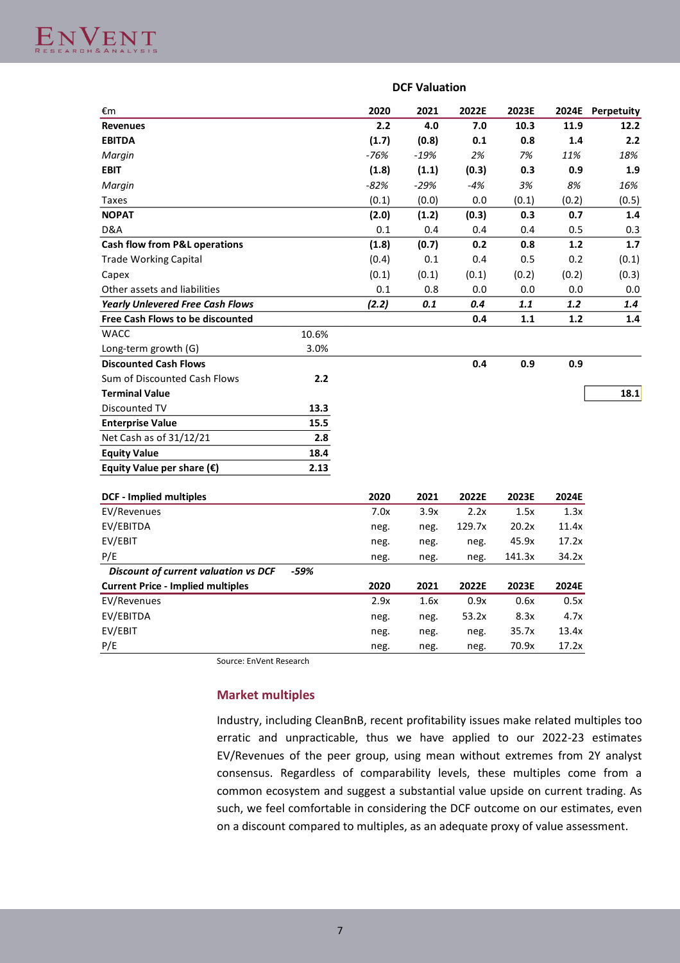

|                                             |       |        | <b>DCF Valuation</b> |        |        |       |                  |
|---------------------------------------------|-------|--------|----------------------|--------|--------|-------|------------------|
| €m                                          |       | 2020   | 2021                 | 2022E  | 2023E  |       | 2024E Perpetuity |
| <b>Revenues</b>                             |       | 2.2    | 4.0                  | 7.0    | 10.3   | 11.9  | 12.2             |
| <b>EBITDA</b>                               |       | (1.7)  | (0.8)                | 0.1    | 0.8    | 1.4   | 2.2              |
| Margin                                      |       | $-76%$ | $-19%$               | 2%     | 7%     | 11%   | 18%              |
| <b>EBIT</b>                                 |       | (1.8)  | (1.1)                | (0.3)  | 0.3    | 0.9   | 1.9              |
| Margin                                      |       | $-82%$ | $-29%$               | $-4%$  | 3%     | 8%    | 16%              |
| Taxes                                       |       | (0.1)  | (0.0)                | 0.0    | (0.1)  | (0.2) | (0.5)            |
| <b>NOPAT</b>                                |       | (2.0)  | (1.2)                | (0.3)  | 0.3    | 0.7   | 1.4              |
| D&A                                         |       | 0.1    | 0.4                  | 0.4    | 0.4    | 0.5   | 0.3              |
| <b>Cash flow from P&amp;L operations</b>    |       | (1.8)  | (0.7)                | 0.2    | 0.8    | 1.2   | 1.7              |
| <b>Trade Working Capital</b>                |       | (0.4)  | 0.1                  | 0.4    | 0.5    | 0.2   | (0.1)            |
| Capex                                       |       | (0.1)  | (0.1)                | (0.1)  | (0.2)  | (0.2) | (0.3)            |
| Other assets and liabilities                |       | 0.1    | 0.8                  | 0.0    | 0.0    | 0.0   | 0.0              |
| <b>Yearly Unlevered Free Cash Flows</b>     |       | (2.2)  | 0.1                  | 0.4    | 1.1    | 1.2   | 1.4              |
| <b>Free Cash Flows to be discounted</b>     |       |        |                      | 0.4    | 1.1    | 1.2   | 1.4              |
| <b>WACC</b>                                 | 10.6% |        |                      |        |        |       |                  |
| Long-term growth (G)                        | 3.0%  |        |                      |        |        |       |                  |
| <b>Discounted Cash Flows</b>                |       |        |                      | 0.4    | 0.9    | 0.9   |                  |
| Sum of Discounted Cash Flows                | 2.2   |        |                      |        |        |       |                  |
| <b>Terminal Value</b>                       |       |        |                      |        |        |       | 18.1             |
| Discounted TV                               | 13.3  |        |                      |        |        |       |                  |
| <b>Enterprise Value</b>                     | 15.5  |        |                      |        |        |       |                  |
| Net Cash as of 31/12/21                     | 2.8   |        |                      |        |        |       |                  |
| <b>Equity Value</b>                         | 18.4  |        |                      |        |        |       |                  |
| Equity Value per share $(\epsilon)$         | 2.13  |        |                      |        |        |       |                  |
| <b>DCF - Implied multiples</b>              |       | 2020   | 2021                 | 2022E  | 2023E  | 2024E |                  |
| EV/Revenues                                 |       | 7.0x   | 3.9x                 | 2.2x   | 1.5x   | 1.3x  |                  |
| EV/EBITDA                                   |       | neg.   | neg.                 | 129.7x | 20.2x  | 11.4x |                  |
| EV/EBIT                                     |       | neg.   | neg.                 | neg.   | 45.9x  | 17.2x |                  |
| P/E                                         |       | neg.   | neg.                 | neg.   | 141.3x | 34.2x |                  |
| <b>Discount of current valuation vs DCF</b> | -59%  |        |                      |        |        |       |                  |
| <b>Current Price - Implied multiples</b>    |       | 2020   | 2021                 | 2022E  | 2023E  | 2024E |                  |
| EV/Revenues                                 |       | 2.9x   | 1.6x                 | 0.9x   | 0.6x   | 0.5x  |                  |
| EV/EBITDA                                   |       | neg.   | neg.                 | 53.2x  | 8.3x   | 4.7x  |                  |
| EV/EBIT                                     |       | neg.   | neg.                 | neg.   | 35.7x  | 13.4x |                  |
| P/E                                         |       | neg.   | neg.                 | neg.   | 70.9x  | 17.2x |                  |

Source: EnVent Research

### **Market multiples**

Industry, including CleanBnB, recent profitability issues make related multiples too erratic and unpracticable, thus we have applied to our 2022-23 estimates EV/Revenues of the peer group, using mean without extremes from 2Y analyst consensus. Regardless of comparability levels, these multiples come from a common ecosystem and suggest a substantial value upside on current trading. As such, we feel comfortable in considering the DCF outcome on our estimates, even on a discount compared to multiples, as an adequate proxy of value assessment.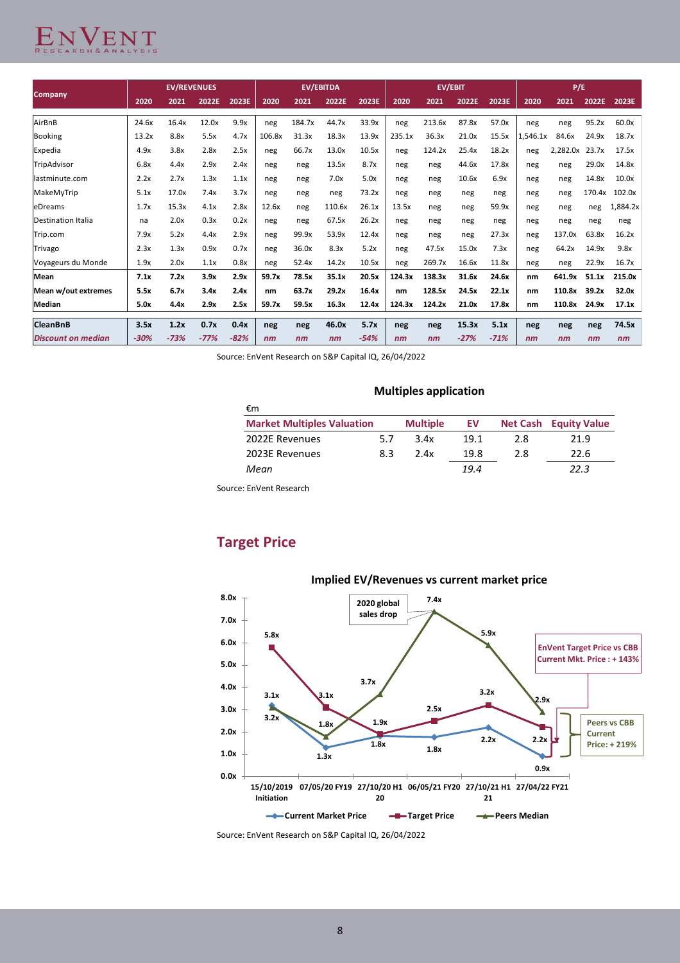# ENVENT

|                           |        | <b>EV/REVENUES</b> |        |        |        |        | <b>EV/EBITDA</b> |        |        |        | <b>EV/EBIT</b> |        |          | P/E      |        |          |
|---------------------------|--------|--------------------|--------|--------|--------|--------|------------------|--------|--------|--------|----------------|--------|----------|----------|--------|----------|
| <b>Company</b>            | 2020   | 2021               | 2022E  | 2023E  | 2020   | 2021   | 2022E            | 2023E  | 2020   | 2021   | 2022E          | 2023E  | 2020     | 2021     | 2022E  | 2023E    |
| AirBnB                    | 24.6x  | 16.4x              | 12.0x  | 9.9x   | neg    | 184.7x | 44.7x            | 33.9x  | neg    | 213.6x | 87.8x          | 57.0x  | neg      | neg      | 95.2x  | 60.0x    |
| Booking                   | 13.2x  | 8.8x               | 5.5x   | 4.7x   | 106.8x | 31.3x  | 18.3x            | 13.9x  | 235.1x | 36.3x  | 21.0x          | 15.5x  | 1.546.1x | 84.6x    | 24.9x  | 18.7x    |
| Expedia                   | 4.9x   | 3.8x               | 2.8x   | 2.5x   | neg    | 66.7x  | 13.0x            | 10.5x  | neg    | 124.2x | 25.4x          | 18.2x  | neg      | 2.282.0x | 23.7x  | 17.5x    |
| TripAdvisor               | 6.8x   | 4.4x               | 2.9x   | 2.4x   | neg    | neg    | 13.5x            | 8.7x   | neg    | neg    | 44.6x          | 17.8x  | neg      | neg      | 29.0x  | 14.8x    |
| lastminute.com            | 2.2x   | 2.7x               | 1.3x   | 1.1x   | neg    | neg    | 7.0x             | 5.0x   | neg    | neg    | 10.6x          | 6.9x   | neg      | neg      | 14.8x  | 10.0x    |
| MakeMyTrip                | 5.1x   | 17.0x              | 7.4x   | 3.7x   | neg    | neg    | neg              | 73.2x  | neg    | neg    | neg            | neg    | neg      | neg      | 170.4x | 102.0x   |
| leDreams                  | 1.7x   | 15.3x              | 4.1x   | 2.8x   | 12.6x  | neg    | 110.6x           | 26.1x  | 13.5x  | neg    | neg            | 59.9x  | neg      | neg      | neg    | 1,884.2x |
| <b>Destination Italia</b> | na     | 2.0x               | 0.3x   | 0.2x   | neg    | neg    | 67.5x            | 26.2x  | neg    | neg    | neg            | neg    | neg      | neg      | neg    | neg      |
| Trip.com                  | 7.9x   | 5.2x               | 4.4x   | 2.9x   | neg    | 99.9x  | 53.9x            | 12.4x  | neg    | neg    | neg            | 27.3x  | neg      | 137.0x   | 63.8x  | 16.2x    |
| Trivago                   | 2.3x   | 1.3x               | 0.9x   | 0.7x   | neg    | 36.0x  | 8.3x             | 5.2x   | neg    | 47.5x  | 15.0x          | 7.3x   | neg      | 64.2x    | 14.9x  | 9.8x     |
| Voyageurs du Monde        | 1.9x   | 2.0x               | 1.1x   | 0.8x   | neg    | 52.4x  | 14.2x            | 10.5x  | neg    | 269.7x | 16.6x          | 11.8x  | neg      | neg      | 22.9x  | 16.7x    |
| <b>Mean</b>               | 7.1x   | 7.2x               | 3.9x   | 2.9x   | 59.7x  | 78.5x  | 35.1x            | 20.5x  | 124.3x | 138.3x | 31.6x          | 24.6x  | nm       | 641.9x   | 51.1x  | 215.0x   |
| Mean w/out extremes       | 5.5x   | 6.7x               | 3.4x   | 2.4x   | nm     | 63.7x  | 29.2x            | 16.4x  | nm     | 128.5x | 24.5x          | 22.1x  | nm       | 110.8x   | 39.2x  | 32.0x    |
| Median                    | 5.0x   | 4.4x               | 2.9x   | 2.5x   | 59.7x  | 59.5x  | 16.3x            | 12.4x  | 124.3x | 124.2x | 21.0x          | 17.8x  | nm       | 110.8x   | 24.9x  | 17.1x    |
| <b>CleanBnB</b>           | 3.5x   | 1.2x               | 0.7x   | 0.4x   | neg    | neg    | 46.0x            | 5.7x   | neg    | neg    | 15.3x          | 5.1x   | neg      | neg      | neg    | 74.5x    |
| <b>Discount on median</b> | $-30%$ | $-73%$             | $-77%$ | $-82%$ | nm     | nm     | nm               | $-54%$ | nm     | nm     | $-27%$         | $-71%$ | nm       | nm       | nm     | nm       |

Source: EnVent Research on S&P Capital IQ, 26/04/2022

### **Multiples application**

| €m                                |     |                 |      |     |                              |
|-----------------------------------|-----|-----------------|------|-----|------------------------------|
| <b>Market Multiples Valuation</b> |     | <b>Multiple</b> | EV   |     | <b>Net Cash Equity Value</b> |
| 2022E Revenues                    | 5.7 | 3.4x            | 19.1 | 2.8 | 21.9                         |
| 2023E Revenues                    | 8.3 | 2.4x            | 19.8 | 2.8 | 22.6                         |
| Mean                              |     |                 | 19.4 |     | 22.3                         |

Source: EnVent Research

### **Target Price**



Source: EnVent Research on S&P Capital IQ, 26/04/2022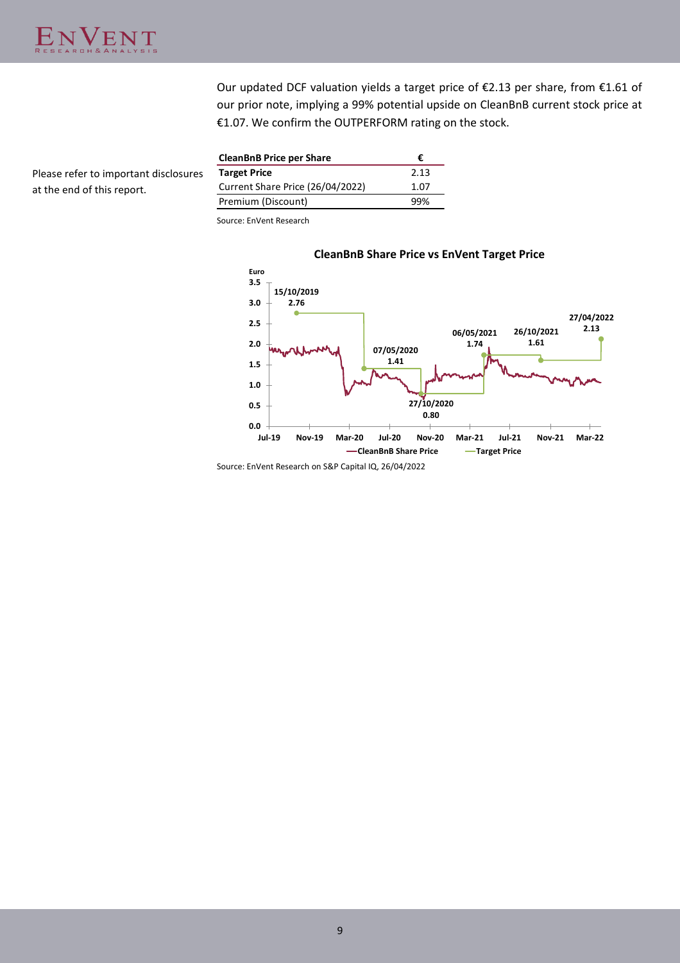Please refer to important disclosures

at the end of this report.

Our updated DCF valuation yields a target price of €2.13 per share, from €1.61 of our prior note, implying a 99% potential upside on CleanBnB current stock price at €1.07. We confirm the OUTPERFORM rating on the stock.

| <b>CleanBnB Price per Share</b>  | ŧ.   |
|----------------------------------|------|
| <b>Target Price</b>              | 2.13 |
| Current Share Price (26/04/2022) | 1.07 |
| Premium (Discount)               | 99%  |

Source: EnVent Research



### **CleanBnB Share Price vs EnVent Target Price**

Source: EnVent Research on S&P Capital IQ, 26/04/2022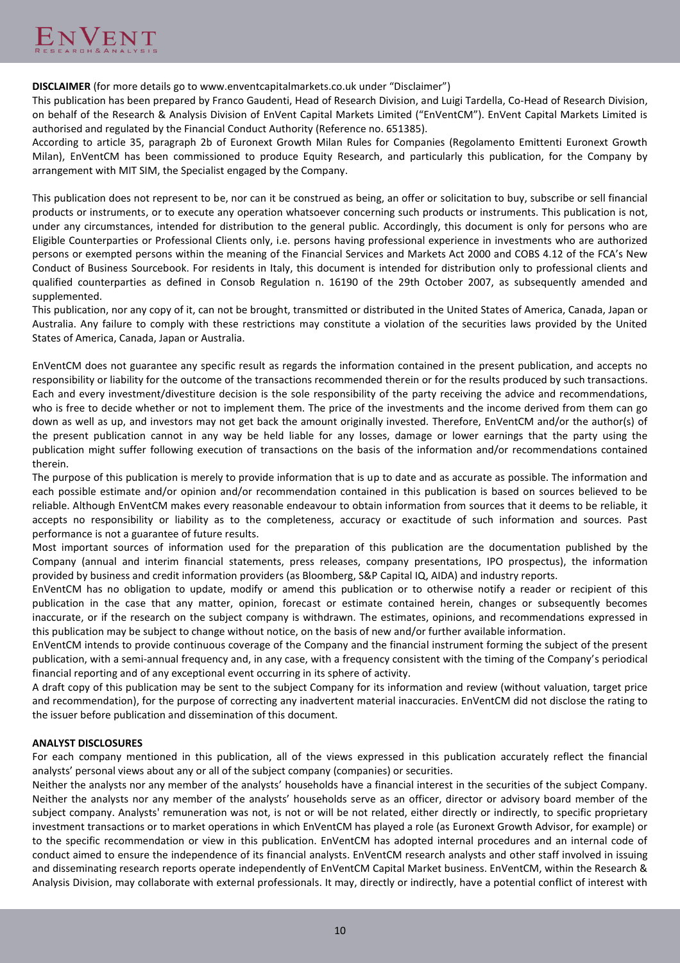**DISCLAIMER** (for more details go to www.enventcapitalmarkets.co.uk under "Disclaimer")

This publication has been prepared by Franco Gaudenti, Head of Research Division, and Luigi Tardella, Co-Head of Research Division, on behalf of the Research & Analysis Division of EnVent Capital Markets Limited ("EnVentCM"). EnVent Capital Markets Limited is authorised and regulated by the Financial Conduct Authority (Reference no. 651385).

According to article 35, paragraph 2b of Euronext Growth Milan Rules for Companies (Regolamento Emittenti Euronext Growth Milan), EnVentCM has been commissioned to produce Equity Research, and particularly this publication, for the Company by arrangement with MIT SIM, the Specialist engaged by the Company.

This publication does not represent to be, nor can it be construed as being, an offer or solicitation to buy, subscribe or sell financial products or instruments, or to execute any operation whatsoever concerning such products or instruments. This publication is not, under any circumstances, intended for distribution to the general public. Accordingly, this document is only for persons who are Eligible Counterparties or Professional Clients only, i.e. persons having professional experience in investments who are authorized persons or exempted persons within the meaning of the Financial Services and Markets Act 2000 and COBS 4.12 of the FCA's New Conduct of Business Sourcebook. For residents in Italy, this document is intended for distribution only to professional clients and qualified counterparties as defined in Consob Regulation n. 16190 of the 29th October 2007, as subsequently amended and supplemented.

This publication, nor any copy of it, can not be brought, transmitted or distributed in the United States of America, Canada, Japan or Australia. Any failure to comply with these restrictions may constitute a violation of the securities laws provided by the United States of America, Canada, Japan or Australia.

EnVentCM does not guarantee any specific result as regards the information contained in the present publication, and accepts no responsibility or liability for the outcome of the transactions recommended therein or for the results produced by such transactions. Each and every investment/divestiture decision is the sole responsibility of the party receiving the advice and recommendations, who is free to decide whether or not to implement them. The price of the investments and the income derived from them can go down as well as up, and investors may not get back the amount originally invested. Therefore, EnVentCM and/or the author(s) of the present publication cannot in any way be held liable for any losses, damage or lower earnings that the party using the publication might suffer following execution of transactions on the basis of the information and/or recommendations contained therein.

The purpose of this publication is merely to provide information that is up to date and as accurate as possible. The information and each possible estimate and/or opinion and/or recommendation contained in this publication is based on sources believed to be reliable. Although EnVentCM makes every reasonable endeavour to obtain information from sources that it deems to be reliable, it accepts no responsibility or liability as to the completeness, accuracy or exactitude of such information and sources. Past performance is not a guarantee of future results.

Most important sources of information used for the preparation of this publication are the documentation published by the Company (annual and interim financial statements, press releases, company presentations, IPO prospectus), the information provided by business and credit information providers (as Bloomberg, S&P Capital IQ, AIDA) and industry reports.

EnVentCM has no obligation to update, modify or amend this publication or to otherwise notify a reader or recipient of this publication in the case that any matter, opinion, forecast or estimate contained herein, changes or subsequently becomes inaccurate, or if the research on the subject company is withdrawn. The estimates, opinions, and recommendations expressed in this publication may be subject to change without notice, on the basis of new and/or further available information.

EnVentCM intends to provide continuous coverage of the Company and the financial instrument forming the subject of the present publication, with a semi-annual frequency and, in any case, with a frequency consistent with the timing of the Company's periodical financial reporting and of any exceptional event occurring in its sphere of activity.

A draft copy of this publication may be sent to the subject Company for its information and review (without valuation, target price and recommendation), for the purpose of correcting any inadvertent material inaccuracies. EnVentCM did not disclose the rating to the issuer before publication and dissemination of this document.

### **ANALYST DISCLOSURES**

For each company mentioned in this publication, all of the views expressed in this publication accurately reflect the financial analysts' personal views about any or all of the subject company (companies) or securities.

Neither the analysts nor any member of the analysts' households have a financial interest in the securities of the subject Company. Neither the analysts nor any member of the analysts' households serve as an officer, director or advisory board member of the subject company. Analysts' remuneration was not, is not or will be not related, either directly or indirectly, to specific proprietary investment transactions or to market operations in which EnVentCM has played a role (as Euronext Growth Advisor, for example) or to the specific recommendation or view in this publication. EnVentCM has adopted internal procedures and an internal code of conduct aimed to ensure the independence of its financial analysts. EnVentCM research analysts and other staff involved in issuing and disseminating research reports operate independently of EnVentCM Capital Market business. EnVentCM, within the Research & Analysis Division, may collaborate with external professionals. It may, directly or indirectly, have a potential conflict of interest with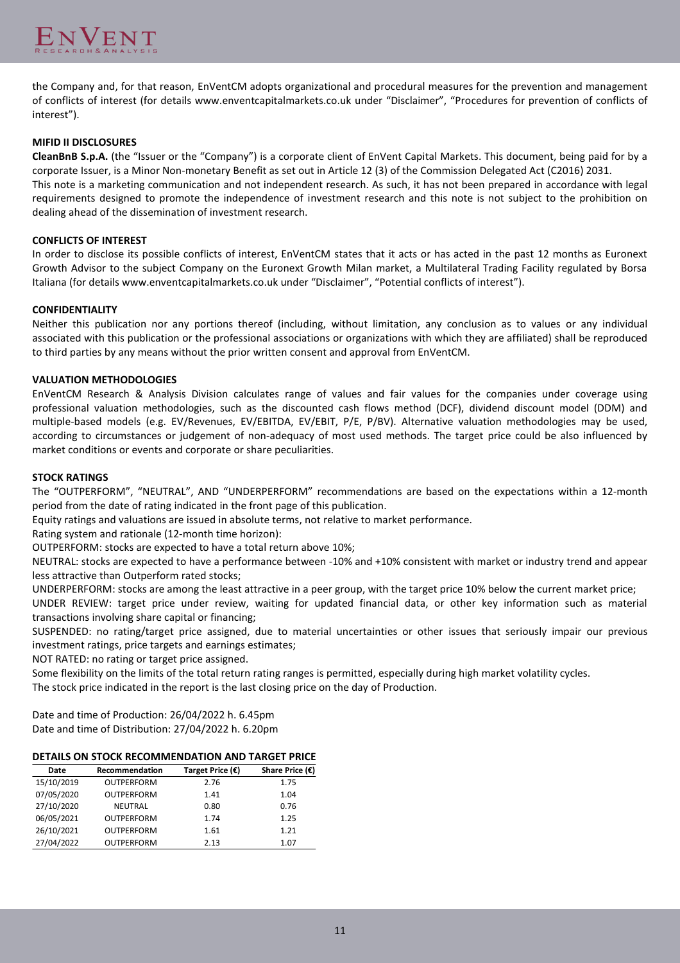

the Company and, for that reason, EnVentCM adopts organizational and procedural measures for the prevention and management of conflicts of interest (for details www.enventcapitalmarkets.co.uk under "Disclaimer", "Procedures for prevention of conflicts of interest").

### **MIFID II DISCLOSURES**

**CleanBnB S.p.A.** (the "Issuer or the "Company") is a corporate client of EnVent Capital Markets. This document, being paid for by a corporate Issuer, is a Minor Non-monetary Benefit as set out in Article 12 (3) of the Commission Delegated Act (C2016) 2031. This note is a marketing communication and not independent research. As such, it has not been prepared in accordance with legal

requirements designed to promote the independence of investment research and this note is not subject to the prohibition on dealing ahead of the dissemination of investment research.

### **CONFLICTS OF INTEREST**

In order to disclose its possible conflicts of interest, EnVentCM states that it acts or has acted in the past 12 months as Euronext Growth Advisor to the subject Company on the Euronext Growth Milan market, a Multilateral Trading Facility regulated by Borsa Italiana (for details www.enventcapitalmarkets.co.uk under "Disclaimer", "Potential conflicts of interest").

### **CONFIDENTIALITY**

Neither this publication nor any portions thereof (including, without limitation, any conclusion as to values or any individual associated with this publication or the professional associations or organizations with which they are affiliated) shall be reproduced to third parties by any means without the prior written consent and approval from EnVentCM.

### **VALUATION METHODOLOGIES**

EnVentCM Research & Analysis Division calculates range of values and fair values for the companies under coverage using professional valuation methodologies, such as the discounted cash flows method (DCF), dividend discount model (DDM) and multiple-based models (e.g. EV/Revenues, EV/EBITDA, EV/EBIT, P/E, P/BV). Alternative valuation methodologies may be used, according to circumstances or judgement of non-adequacy of most used methods. The target price could be also influenced by market conditions or events and corporate or share peculiarities.

#### **STOCK RATINGS**

The "OUTPERFORM", "NEUTRAL", AND "UNDERPERFORM" recommendations are based on the expectations within a 12-month period from the date of rating indicated in the front page of this publication.

Equity ratings and valuations are issued in absolute terms, not relative to market performance.

Rating system and rationale (12-month time horizon):

OUTPERFORM: stocks are expected to have a total return above 10%;

NEUTRAL: stocks are expected to have a performance between -10% and +10% consistent with market or industry trend and appear less attractive than Outperform rated stocks;

UNDERPERFORM: stocks are among the least attractive in a peer group, with the target price 10% below the current market price;

UNDER REVIEW: target price under review, waiting for updated financial data, or other key information such as material transactions involving share capital or financing;

SUSPENDED: no rating/target price assigned, due to material uncertainties or other issues that seriously impair our previous investment ratings, price targets and earnings estimates;

NOT RATED: no rating or target price assigned.

Some flexibility on the limits of the total return rating ranges is permitted, especially during high market volatility cycles.

The stock price indicated in the report is the last closing price on the day of Production.

Date and time of Production: 26/04/2022 h. 6.45pm Date and time of Distribution: 27/04/2022 h. 6.20pm

### **DETAILS ON STOCK RECOMMENDATION AND TARGET PRICE**

| Date       | Recommendation    | Target Price $(€)$ | Share Price $(\epsilon)$ |
|------------|-------------------|--------------------|--------------------------|
| 15/10/2019 | <b>OUTPERFORM</b> | 2.76               | 1.75                     |
| 07/05/2020 | <b>OUTPERFORM</b> | 1.41               | 1.04                     |
| 27/10/2020 | <b>NEUTRAL</b>    | 0.80               | 0.76                     |
| 06/05/2021 | <b>OUTPERFORM</b> | 1.74               | 1.25                     |
| 26/10/2021 | <b>OUTPERFORM</b> | 1.61               | 1.21                     |
| 27/04/2022 | <b>OUTPERFORM</b> | 2.13               | 1.07                     |